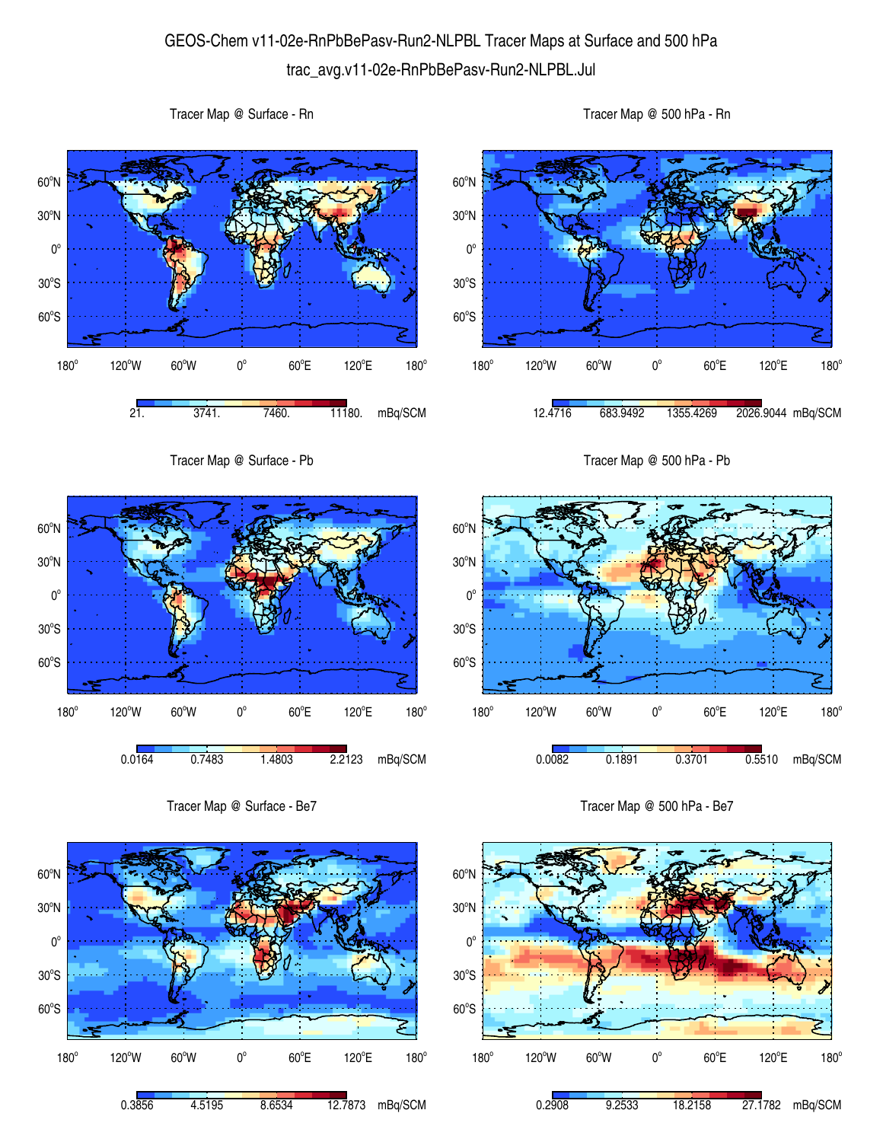## GEOS-Chem v11-02e-RnPbBePasv-Run2-NLPBL Tracer Maps at Surface and 500 hPa trac\_avg.v11-02e-RnPbBePasv-Run2-NLPBL.Jul



Tracer Map @ Surface - Be7



Tracer Map @ 500 hPa - Be7